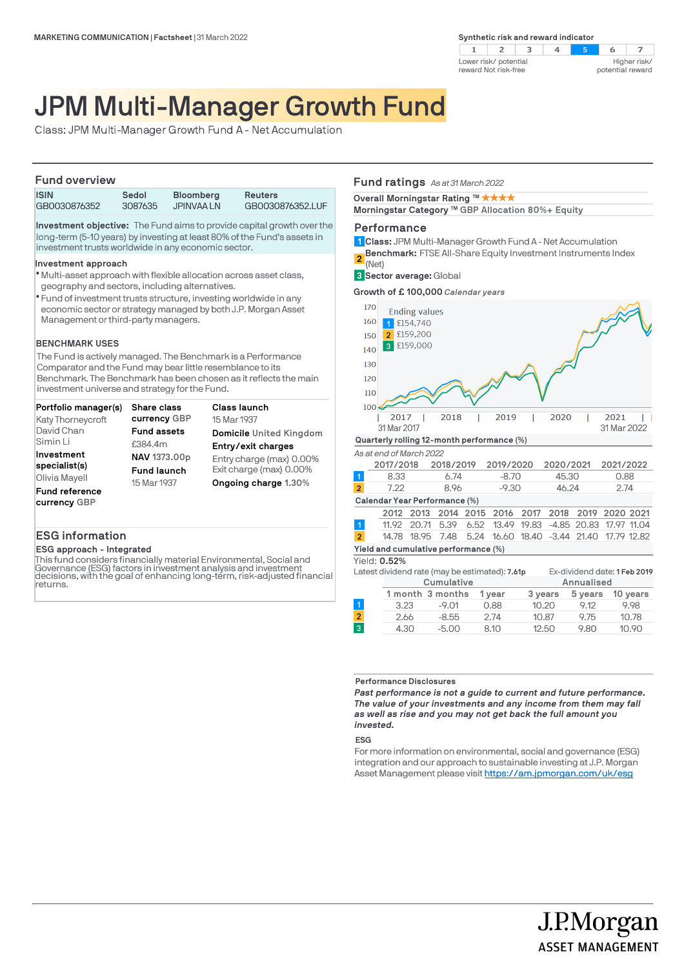

# JPM Multi-Manager Growth Fund

Class: JPM Multi-Manager Growth Fund A - Net Accumulation

## **Fund overview**

| .            |         |                  |                  |  |
|--------------|---------|------------------|------------------|--|
| <b>ISIN</b>  | Sedol   | <b>Bloomberg</b> | <b>Reuters</b>   |  |
| GB0030876352 | 3087635 | JPINVAA LN       | GB0030876352.LUF |  |

**Investment objective:** The Fund aims to provide capital growth over the long-term (5-10 years) by investing at least 80% of the Fund's assets in investment trusts worldwide in any economic sector.

#### **Investment approach**

- Multi-asset approach with flexible allocation across asset class, l geography and sectors, including alternatives.
- Fund of investment trusts structure, investing worldwide in any l economic sector or strategy managed by both J.P. Morgan Asset Management or third-party managers.

## **BENCHMARK USES**

The Fund is actively managed. The Benchmark is a Performance Comparator and the Fund may bear little resemblance to its Benchmark. The Benchmark has been chosen as it reflects the main investment universe and strategy for the Fund.

| Portfolio manager(s)     | Share class        | <b>Class launch</b>      |
|--------------------------|--------------------|--------------------------|
| <b>Katy Thorneycroft</b> | currency GBP       | 15 Mar 1937              |
| David Chan               | <b>Fund assets</b> | Domicile United Kingdom  |
| Simin Li                 | £384.4m            | Entry/exit charges       |
| Investment               | NAV 1373.00p       | Entry charge (max) 0.00% |
| specialist(s)            | <b>Fund launch</b> | Exit charge (max) 0.00%  |
| Olivia Mayell            | 15 Mar 1937        | Ongoing charge 1.30%     |
| <b>Fund reference</b>    |                    |                          |
| currency GBP             |                    |                          |

## **ESG information**

**ESG approach - Integrated**

This fund considers financially material Environmental, Social and Governance (ESG) factors in investment analysis and investment decisions, with the goal of enhancing long-term, risk-adjusted financial returns.

## **Fund ratings** *As at 31 March 2022*

**Overall Morningstar Rating ™ ★ ★ ★ ★** 

**Morningstar Category ™ GBP Allocation 80%+ Equity** 

## **Performance**

- **Class:** JPM Multi-Manager Growth Fund A Net Accumulation **1**
- **Benchmark:** FTSE All-Share Equity Investment Instruments Index **2**

(Net)

**Sector average:** Global **3**

**Growth of £ 100,000** *Calendar years*



Yield: **0.52%**

| Latest dividend rate (may be estimated): <b>7.61p</b> |                         |  |                                                | Ex-dividend date: 1 Feb 2019 |
|-------------------------------------------------------|-------------------------|--|------------------------------------------------|------------------------------|
| Cumulative                                            |                         |  | Annualised                                     |                              |
|                                                       | 1 month 3 months 1 year |  | $3 \text{ Vap}$ 5 $\text{Vap}$ 10 $\text{Vap}$ |                              |

|      | 1 month 3 months 1 year |       | 3 years |      | 5 years 10 years |
|------|-------------------------|-------|---------|------|------------------|
| 3.23 | $-9.01$                 | 0.88  | 10.20   | 9.12 | 9.98             |
| 2.66 | $-8.55$                 | -2.74 | 10.87   | 9.75 | 10.78            |
| 4.30 | $-5.00$                 | 8.10  | 12.50   | 9.80 | 10.90            |

**Performance Disclosures**

*Past performance is not a guide to current and future performance. The value of your investments and any income from them may fall as well as rise and you may not get back the full amount you invested.* 

## **ESG**

 $\overline{2}$  $\overline{3}$ 

For more information on environmental, social and governance (ESG) integration and our approach to sustainable investing at J.P. Morgan Asset Management please visit https://am.jpmorgan.com/uk/esg

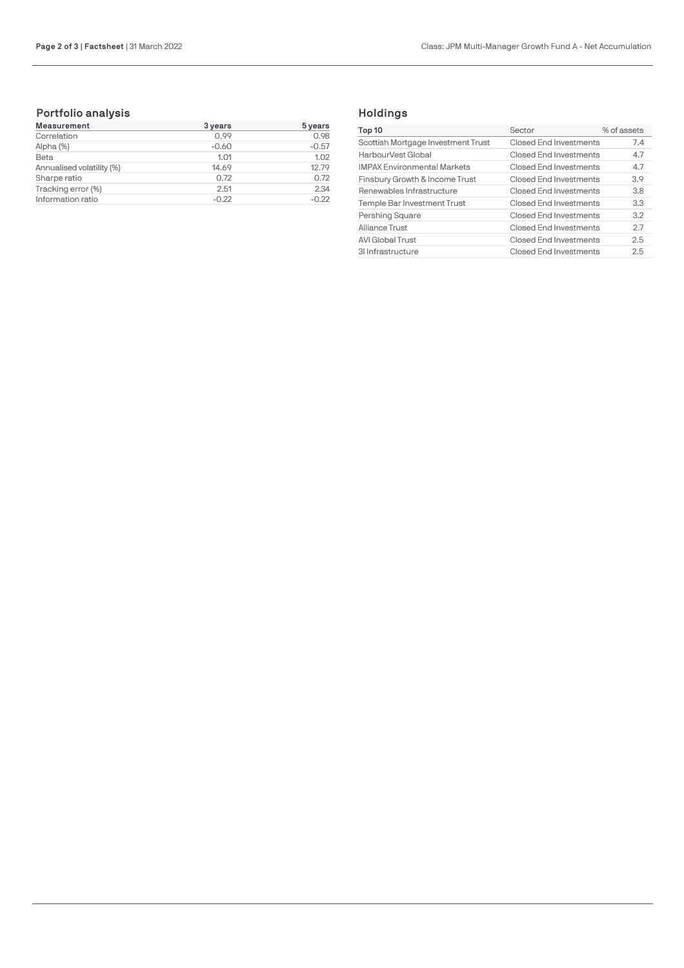## **Portfolio analysis**

| <b>Measurement</b>        | 3 years | 5 years |
|---------------------------|---------|---------|
| Correlation               | 0.99    | 0.98    |
| Alpha (%)                 | $-0.60$ | $-0.57$ |
| Beta                      | 1.01    | 1.02    |
| Annualised volatility (%) | 14.69   | 12.79   |
| Sharpe ratio              | 0.72    | 0.72    |
| Tracking error (%)        | 2.51    | 2.34    |
| Information ratio         | $-0.22$ | $-0.22$ |

## **Holdings**

| Top 10                             | Sector                 | % of assets |
|------------------------------------|------------------------|-------------|
| Scottish Mortgage Investment Trust | Closed End Investments | 7.4         |
| HarbourVest Global                 | Closed End Investments | 4.7         |
| <b>IMPAX Environmental Markets</b> | Closed End Investments | 4.7         |
| Finsbury Growth & Income Trust     | Closed End Investments | 3.9         |
| Renewables Infrastructure          | Closed End Investments | 3.8         |
| Temple Bar Investment Trust        | Closed End Investments | 3.3         |
| Pershing Square                    | Closed End Investments | 3.2         |
| Alliance Trust                     | Closed End Investments | 2.7         |
| <b>AVI Global Trust</b>            | Closed End Investments | 2.5         |
| 31 Infrastructure                  | Closed End Investments | 2.5         |